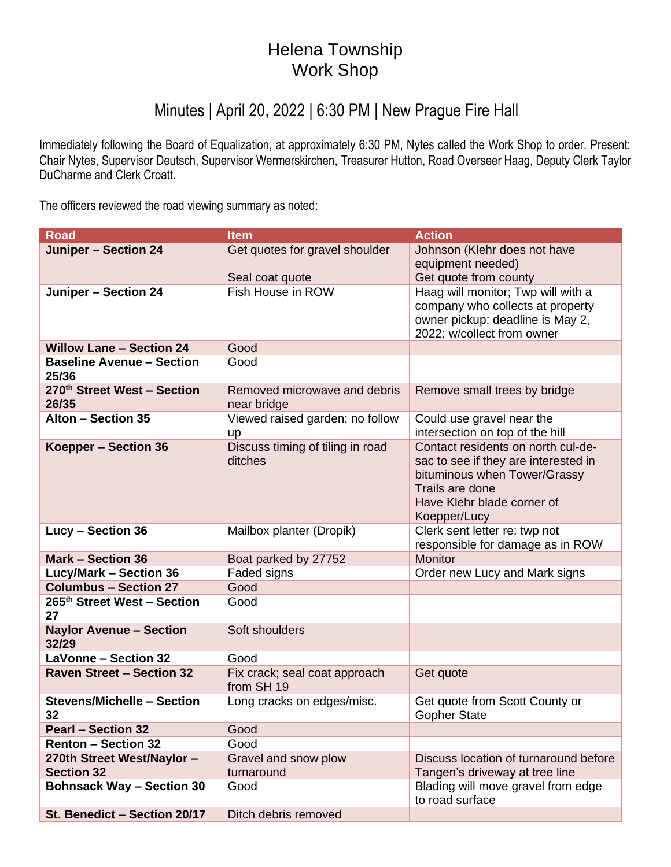## Helena Township Work Shop

## Minutes | April 20, 2022 | 6:30 PM | New Prague Fire Hall

Immediately following the Board of Equalization, at approximately 6:30 PM, Nytes called the Work Shop to order. Present: Chair Nytes, Supervisor Deutsch, Supervisor Wermerskirchen, Treasurer Hutton, Road Overseer Haag, Deputy Clerk Taylor DuCharme and Clerk Croatt.

The officers reviewed the road viewing summary as noted:

| <b>Road</b>                               | <b>Item</b>                                 | <b>Action</b>                                                |
|-------------------------------------------|---------------------------------------------|--------------------------------------------------------------|
| <b>Juniper - Section 24</b>               | Get quotes for gravel shoulder              | Johnson (Klehr does not have                                 |
|                                           |                                             | equipment needed)                                            |
|                                           | Seal coat quote                             | Get quote from county                                        |
| <b>Juniper - Section 24</b>               | Fish House in ROW                           | Haag will monitor; Twp will with a                           |
|                                           |                                             | company who collects at property                             |
|                                           |                                             | owner pickup; deadline is May 2,                             |
|                                           |                                             | 2022; w/collect from owner                                   |
| <b>Willow Lane - Section 24</b>           | Good                                        |                                                              |
| <b>Baseline Avenue - Section</b><br>25/36 | Good                                        |                                                              |
| 270th Street West - Section               | Removed microwave and debris                | Remove small trees by bridge                                 |
| 26/35<br>Alton - Section 35               | near bridge                                 |                                                              |
|                                           | Viewed raised garden; no follow             | Could use gravel near the<br>intersection on top of the hill |
| Koepper - Section 36                      | up<br>Discuss timing of tiling in road      | Contact residents on north cul-de-                           |
|                                           | ditches                                     | sac to see if they are interested in                         |
|                                           |                                             | bituminous when Tower/Grassy                                 |
|                                           |                                             | Trails are done                                              |
|                                           |                                             | Have Klehr blade corner of                                   |
|                                           |                                             | Koepper/Lucy                                                 |
| Lucy - Section 36                         | Mailbox planter (Dropik)                    | Clerk sent letter re: twp not                                |
|                                           |                                             | responsible for damage as in ROW                             |
| <b>Mark - Section 36</b>                  | Boat parked by 27752                        | Monitor                                                      |
| <b>Lucy/Mark - Section 36</b>             | Faded signs                                 | Order new Lucy and Mark signs                                |
| <b>Columbus - Section 27</b>              | Good                                        |                                                              |
| 265th Street West - Section               | Good                                        |                                                              |
| 27                                        |                                             |                                                              |
| <b>Naylor Avenue - Section</b>            | Soft shoulders                              |                                                              |
| 32/29<br><b>LaVonne - Section 32</b>      |                                             |                                                              |
|                                           | Good                                        |                                                              |
| <b>Raven Street - Section 32</b>          | Fix crack; seal coat approach<br>from SH 19 | Get quote                                                    |
| <b>Stevens/Michelle - Section</b>         | Long cracks on edges/misc.                  | Get quote from Scott County or                               |
| 32                                        |                                             | <b>Gopher State</b>                                          |
| <b>Pearl - Section 32</b>                 | Good                                        |                                                              |
| <b>Renton - Section 32</b>                | Good                                        |                                                              |
| 270th Street West/Naylor -                | Gravel and snow plow                        | Discuss location of turnaround before                        |
| <b>Section 32</b>                         | turnaround                                  | Tangen's driveway at tree line                               |
| <b>Bohnsack Way - Section 30</b>          | Good                                        | Blading will move gravel from edge<br>to road surface        |
| St. Benedict - Section 20/17              | Ditch debris removed                        |                                                              |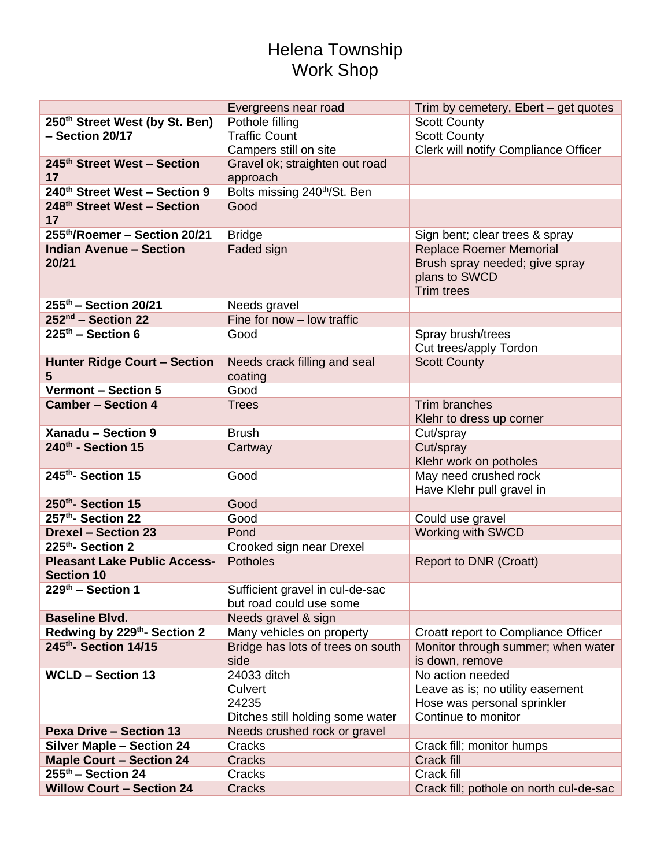## Helena Township Work Shop

|                                                     | Evergreens near road                      | Trim by cemetery, Ebert - get quotes                  |
|-----------------------------------------------------|-------------------------------------------|-------------------------------------------------------|
| 250th Street West (by St. Ben)                      | Pothole filling                           | <b>Scott County</b>                                   |
| - Section 20/17                                     | <b>Traffic Count</b>                      | <b>Scott County</b>                                   |
|                                                     | Campers still on site                     | Clerk will notify Compliance Officer                  |
| 245th Street West - Section                         | Gravel ok; straighten out road            |                                                       |
| 17                                                  | approach                                  |                                                       |
| 240th Street West - Section 9                       | Bolts missing 240 <sup>th</sup> /St. Ben  |                                                       |
| 248th Street West - Section                         | Good                                      |                                                       |
| 17                                                  |                                           |                                                       |
| 255th/Roemer - Section 20/21                        | <b>Bridge</b>                             | Sign bent; clear trees & spray                        |
| <b>Indian Avenue - Section</b>                      | Faded sign                                | <b>Replace Roemer Memorial</b>                        |
| 20/21                                               |                                           | Brush spray needed; give spray                        |
|                                                     |                                           | plans to SWCD                                         |
|                                                     |                                           | <b>Trim trees</b>                                     |
| 255th - Section 20/21                               | Needs gravel                              |                                                       |
| 252 <sup>nd</sup> - Section 22                      | Fine for now - low traffic                |                                                       |
| $225th$ – Section 6                                 | Good                                      | Spray brush/trees                                     |
|                                                     |                                           | Cut trees/apply Tordon                                |
| <b>Hunter Ridge Court - Section</b>                 | Needs crack filling and seal              | <b>Scott County</b>                                   |
| 5                                                   | coating                                   |                                                       |
| <b>Vermont - Section 5</b>                          | Good                                      |                                                       |
| <b>Camber - Section 4</b>                           | <b>Trees</b>                              | Trim branches                                         |
|                                                     |                                           | Klehr to dress up corner                              |
| Xanadu - Section 9                                  | <b>Brush</b>                              | Cut/spray                                             |
| 240th - Section 15                                  | Cartway                                   | Cut/spray                                             |
|                                                     |                                           | Klehr work on potholes                                |
| 245th-Section 15                                    | Good                                      | May need crushed rock                                 |
|                                                     |                                           | Have Klehr pull gravel in                             |
| 250 <sup>th</sup> -Section 15                       | Good                                      |                                                       |
| 257th-Section 22                                    | Good                                      | Could use gravel                                      |
| <b>Drexel - Section 23</b>                          | Pond                                      | <b>Working with SWCD</b>                              |
| 225th-Section 2                                     | Crooked sign near Drexel                  |                                                       |
| <b>Pleasant Lake Public Access-</b>                 | <b>Potholes</b>                           | <b>Report to DNR (Croatt)</b>                         |
| <b>Section 10</b>                                   |                                           |                                                       |
| $229th$ – Section 1                                 | Sufficient gravel in cul-de-sac           |                                                       |
|                                                     | but road could use some                   |                                                       |
| <b>Baseline Blvd.</b>                               | Needs gravel & sign                       |                                                       |
| Redwing by 229th- Section 2<br>245th- Section 14/15 | Many vehicles on property                 | Croatt report to Compliance Officer                   |
|                                                     | Bridge has lots of trees on south<br>side | Monitor through summer; when water<br>is down, remove |
| <b>WCLD - Section 13</b>                            | 24033 ditch                               | No action needed                                      |
|                                                     | Culvert                                   | Leave as is; no utility easement                      |
|                                                     | 24235                                     | Hose was personal sprinkler                           |
|                                                     | Ditches still holding some water          | Continue to monitor                                   |
| <b>Pexa Drive - Section 13</b>                      | Needs crushed rock or gravel              |                                                       |
| <b>Silver Maple - Section 24</b>                    | Cracks                                    | Crack fill; monitor humps                             |
| <b>Maple Court - Section 24</b>                     | Cracks                                    | Crack fill                                            |
| $255th$ – Section 24                                | Cracks                                    | Crack fill                                            |
| <b>Willow Court - Section 24</b>                    | Cracks                                    | Crack fill; pothole on north cul-de-sac               |
|                                                     |                                           |                                                       |